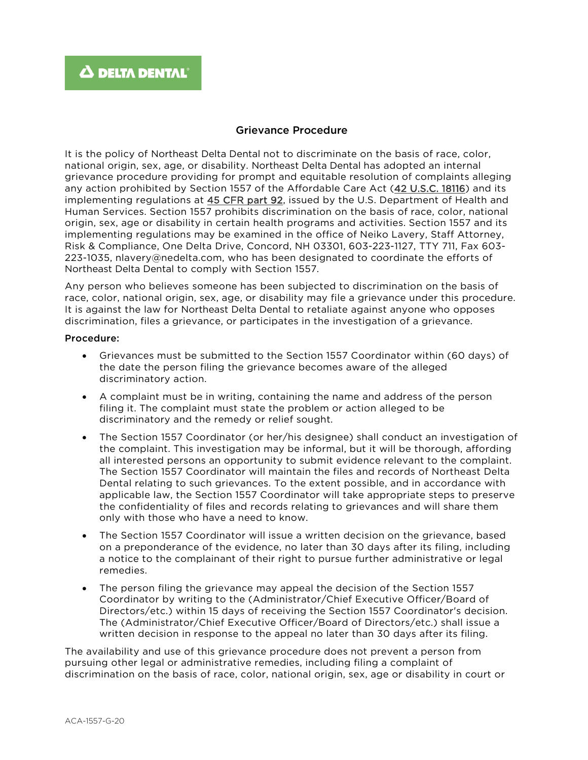## Grievance Procedure

It is the policy of Northeast Delta Dental not to discriminate on the basis of race, color, national origin, sex, age, or disability. Northeast Delta Dental has adopted an internal grievance procedure providing for prompt and equitable resolution of complaints alleging any action prohibited by Section 1557 of the Affordable Care Act [\(42 U.S.C. 18116\)](http://api.fdsys.gov/link?collection=uscode&title=42&year=mostrecent§ion=18116&type=usc&link-type=html) and its implementing regulations at [45 CFR part 92,](https://www.federalregister.gov/select-citation/2016/05/18/45-CFR-92) issued by the U.S. Department of Health and Human Services. Section 1557 prohibits discrimination on the basis of race, color, national origin, sex, age or disability in certain health programs and activities. Section 1557 and its implementing regulations may be examined in the office of Neiko Lavery, Staff Attorney, Risk & Compliance, One Delta Drive, Concord, NH 03301, 603-223-1127, TTY 711, Fax 603- 223-1035, nlavery@nedelta.com, who has been designated to coordinate the efforts of Northeast Delta Dental to comply with Section 1557.

Any person who believes someone has been subjected to discrimination on the basis of race, color, national origin, sex, age, or disability may file a grievance under this procedure. It is against the law for Northeast Delta Dental to retaliate against anyone who opposes discrimination, files a grievance, or participates in the investigation of a grievance.

## Procedure:

- Grievances must be submitted to the Section 1557 Coordinator within (60 days) of the date the person filing the grievance becomes aware of the alleged discriminatory action.
- A complaint must be in writing, containing the name and address of the person filing it. The complaint must state the problem or action alleged to be discriminatory and the remedy or relief sought.
- The Section 1557 Coordinator (or her/his designee) shall conduct an investigation of the complaint. This investigation may be informal, but it will be thorough, affording all interested persons an opportunity to submit evidence relevant to the complaint. The Section 1557 Coordinator will maintain the files and records of Northeast Delta Dental relating to such grievances. To the extent possible, and in accordance with applicable law, the Section 1557 Coordinator will take appropriate steps to preserve the confidentiality of files and records relating to grievances and will share them only with those who have a need to know.
- The Section 1557 Coordinator will issue a written decision on the grievance, based on a preponderance of the evidence, no later than 30 days after its filing, including a notice to the complainant of their right to pursue further administrative or legal remedies.
- The person filing the grievance may appeal the decision of the Section 1557 Coordinator by writing to the (Administrator/Chief Executive Officer/Board of Directors/etc.) within 15 days of receiving the Section 1557 Coordinator's decision. The (Administrator/Chief Executive Officer/Board of Directors/etc.) shall issue a written decision in response to the appeal no later than 30 days after its filing.

The availability and use of this grievance procedure does not prevent a person from pursuing other legal or administrative remedies, including filing a complaint of discrimination on the basis of race, color, national origin, sex, age or disability in court or